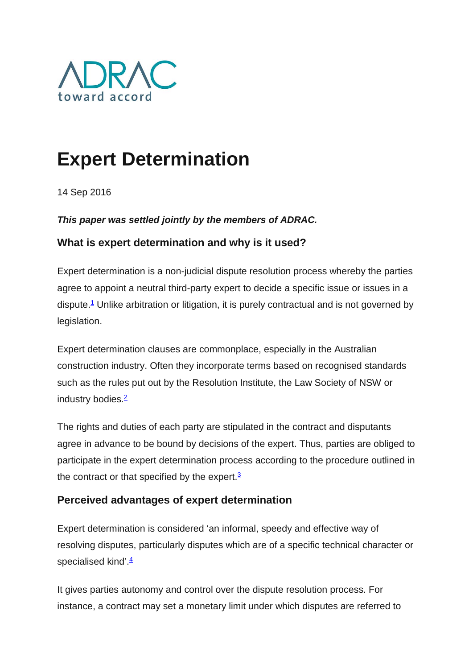

# **Expert Determination**

14 Sep 2016

#### *This paper was settled jointly by the members of ADRAC.*

## **What is expert determination and why is it used?**

Expert determination is a non-judicial dispute resolution process whereby the parties agree to appoint a neutral third-party expert to decide a specific issue or issues in a dispute.<sup>1</sup> Unlike arbitration or litigation, it is purely contractual and is not governed by legislation.

Expert determination clauses are commonplace, especially in the Australian construction industry. Often they incorporate terms based on recognised standards such as the rules put out by the Resolution Institute, the Law Society of NSW or industry bodies. $\frac{2}{3}$ 

The rights and duties of each party are stipulated in the contract and disputants agree in advance to be bound by decisions of the expert. Thus, parties are obliged to participate in the expert determination process according to the procedure outlined in the contract or that specified by the expert. $3$ 

## **Perceived advantages of expert determination**

Expert determination is considered 'an informal, speedy and effective way of resolving disputes, particularly disputes which are of a specific technical character or specialised kind'. $\frac{4}{3}$ 

It gives parties autonomy and control over the dispute resolution process. For instance, a contract may set a monetary limit under which disputes are referred to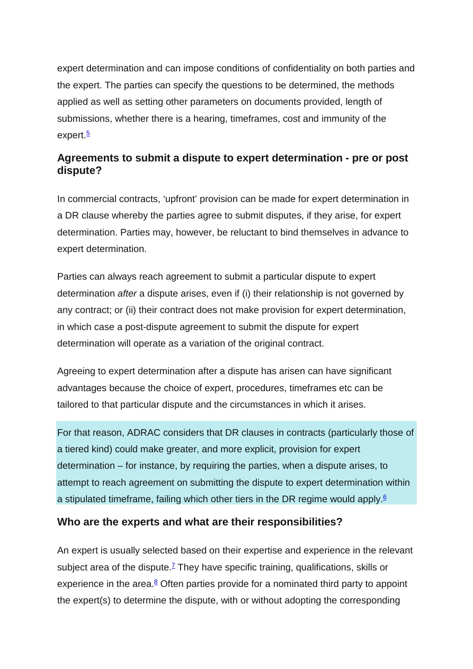expert determination and can impose conditions of confidentiality on both parties and the expert. The parties can specify the questions to be determined, the methods applied as well as setting other parameters on documents provided, length of submissions, whether there is a hearing, timeframes, cost and immunity of the expert. $\frac{5}{2}$ 

## **Agreements to submit a dispute to expert determination - pre or post dispute?**

In commercial contracts, 'upfront' provision can be made for expert determination in a DR clause whereby the parties agree to submit disputes, if they arise, for expert determination. Parties may, however, be reluctant to bind themselves in advance to expert determination.

Parties can always reach agreement to submit a particular dispute to expert determination *after* a dispute arises, even if (i) their relationship is not governed by any contract; or (ii) their contract does not make provision for expert determination, in which case a post-dispute agreement to submit the dispute for expert determination will operate as a variation of the original contract.

Agreeing to expert determination after a dispute has arisen can have significant advantages because the choice of expert, procedures, timeframes etc can be tailored to that particular dispute and the circumstances in which it arises.

For that reason, ADRAC considers that DR clauses in contracts (particularly those of a tiered kind) could make greater, and more explicit, provision for expert determination – for instance, by requiring the parties, when a dispute arises, to attempt to reach agreement on submitting the dispute to expert determination within a stipulated timeframe, failing which other tiers in the DR regime would apply.<sup>6</sup>

#### **Who are the experts and what are their responsibilities?**

An expert is usually selected based on their expertise and experience in the relevant subject area of the dispute.<sup> $7$ </sup> They have specific training, qualifications, skills or experience in the area. $8$  Often parties provide for a nominated third party to appoint the expert(s) to determine the dispute, with or without adopting the corresponding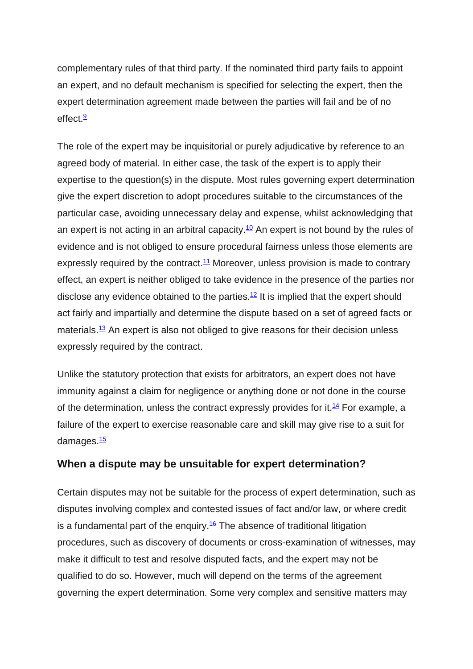complementary rules of that third party. If the nominated third party fails to appoint an expert, and no default mechanism is specified for selecting the expert, then the expert determination agreement made between the parties will fail and be of no  $effect.$ <sup>9</sup>

The role of the expert may be inquisitorial or purely adjudicative by reference to an agreed body of material. In either case, the task of the expert is to apply their expertise to the question(s) in the dispute. Most rules governing expert determination give the expert discretion to adopt procedures suitable to the circumstances of the particular case, avoiding unnecessary delay and expense, whilst acknowledging that an expert is not acting in an arbitral capacity.<sup>10</sup> An expert is not bound by the rules of evidence and is not obliged to ensure procedural fairness unless those elements are expressly required by the contract.<sup>11</sup> Moreover, unless provision is made to contrary effect, an expert is neither obliged to take evidence in the presence of the parties nor disclose any evidence obtained to the parties.<sup>12</sup> It is implied that the expert should act fairly and impartially and determine the dispute based on a set of agreed facts or materials. $13$  An expert is also not obliged to give reasons for their decision unless expressly required by the contract.

Unlike the statutory protection that exists for arbitrators, an expert does not have immunity against a claim for negligence or anything done or not done in the course of the determination, unless the contract expressly provides for it.<sup>14</sup> For example, a failure of the expert to exercise reasonable care and skill may give rise to a suit for damages.<sup>15</sup>

#### **When a dispute may be unsuitable for expert determination?**

Certain disputes may not be suitable for the process of expert determination, such as disputes involving complex and contested issues of fact and/or law, or where credit is a fundamental part of the enquiry.<sup>16</sup> The absence of traditional litigation procedures, such as discovery of documents or cross-examination of witnesses, may make it difficult to test and resolve disputed facts, and the expert may not be qualified to do so. However, much will depend on the terms of the agreement governing the expert determination. Some very complex and sensitive matters may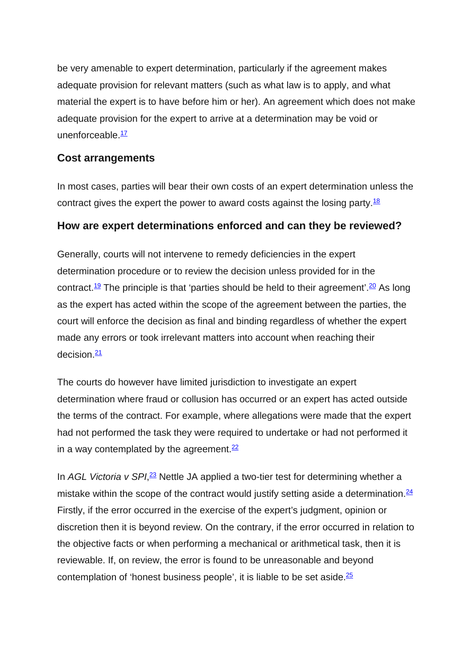be very amenable to expert determination, particularly if the agreement makes adequate provision for relevant matters (such as what law is to apply, and what material the expert is to have before him or her). An agreement which does not make adequate provision for the expert to arrive at a determination may be void or unenforceable. $\frac{17}{1}$ 

### **Cost arrangements**

In most cases, parties will bear their own costs of an expert determination unless the contract gives the expert the power to award costs against the losing party. $18$ 

#### **How are expert determinations enforced and can they be reviewed?**

Generally, courts will not intervene to remedy deficiencies in the expert determination procedure or to review the decision unless provided for in the contract.<sup>19</sup> The principle is that 'parties should be held to their agreement'.<sup>20</sup> As long as the expert has acted within the scope of the agreement between the parties, the court will enforce the decision as final and binding regardless of whether the expert made any errors or took irrelevant matters into account when reaching their  $decision.21$  $decision.21$ 

The courts do however have limited jurisdiction to investigate an expert determination where fraud or collusion has occurred or an expert has acted outside the terms of the contract. For example, where allegations were made that the expert had not performed the task they were required to undertake or had not performed it in a way contemplated by the agreement. $\frac{22}{3}$ 

In AGL Victoria v SPI,<sup>[23](http://www.adrac.org.au/adr-mapping/expert-determination#note23)</sup> Nettle JA applied a two-tier test for determining whether a mistake within the scope of the contract would justify setting aside a determination. $24$ Firstly, if the error occurred in the exercise of the expert's judgment, opinion or discretion then it is beyond review. On the contrary, if the error occurred in relation to the objective facts or when performing a mechanical or arithmetical task, then it is reviewable. If, on review, the error is found to be unreasonable and beyond contemplation of 'honest business people', it is liable to be set aside. $\frac{25}{5}$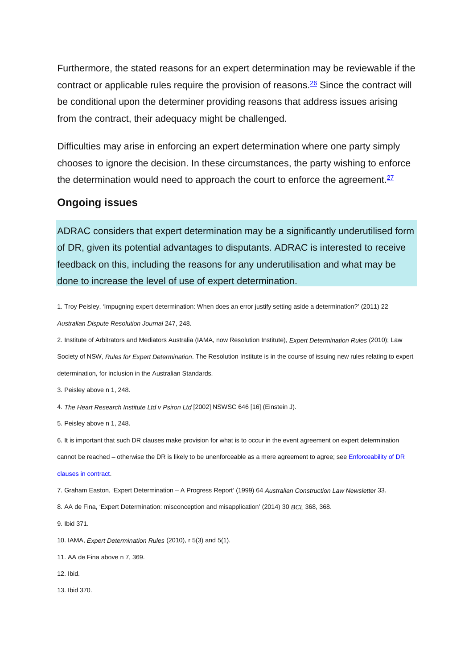Furthermore, the stated reasons for an expert determination may be reviewable if the contract or applicable rules require the provision of reasons.<sup>26</sup> Since the contract will be conditional upon the determiner providing reasons that address issues arising from the contract, their adequacy might be challenged.

Difficulties may arise in enforcing an expert determination where one party simply chooses to ignore the decision. In these circumstances, the party wishing to enforce the determination would need to approach the court to enforce the agreement. $27$ 

#### **Ongoing issues**

ADRAC considers that expert determination may be a significantly underutilised form of DR, given its potential advantages to disputants. ADRAC is interested to receive feedback on this, including the reasons for any underutilisation and what may be done to increase the level of use of expert determination.

1. Troy Peisley, 'Impugning expert determination: When does an error justify setting aside a determination?' (2011) 22 *Australian Dispute Resolution Journal* 247, 248.

2. Institute of Arbitrators and Mediators Australia (IAMA, now Resolution Institute), *Expert Determination Rules* (2010); Law Society of NSW, *Rules for Expert Determination*. The Resolution Institute is in the course of issuing new rules relating to expert determination, for inclusion in the Australian Standards.

6. It is important that such DR clauses make provision for what is to occur in the event agreement on expert determination cannot be reached – otherwise the DR is likely to be unenforceable as a mere agreement to agree; see [Enforceability of DR](http://www.adrac.org.au/adr-mapping/enforceability-of-adr-clauses-in-contract)  [clauses in contract.](http://www.adrac.org.au/adr-mapping/enforceability-of-adr-clauses-in-contract)

7. Graham Easton, 'Expert Determination – A Progress Report' (1999) 64 *Australian Construction Law Newsletter* 33.

- 8. AA de Fina, 'Expert Determination: misconception and misapplication' (2014) 30 *BCL* 368, 368.
- 9. Ibid 371.
- 10. IAMA, *Expert Determination Rules* (2010), r 5(3) and 5(1).
- 11. AA de Fina above n 7, 369.
- 12. Ibid.
- 13. Ibid 370.

<sup>3.</sup> Peisley above n 1, 248.

<sup>4.</sup> *The Heart Research Institute Ltd v Psiron Ltd* [2002] NSWSC 646 [16] (Einstein J).

<sup>5.</sup> Peisley above n 1, 248.